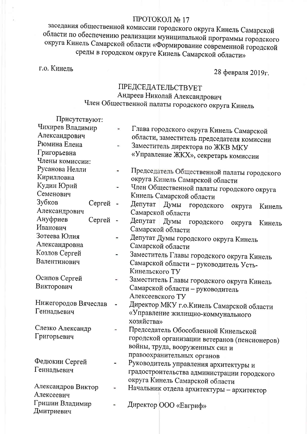#### ПРОТОКОЛ № 17

заседания общественной комиссии городского округа Кинель Самарской области по обеспечению реализации муниципальной программы городского округа Кинель Самарской области «Формирование современной городской среды в городском округе Кинель Самарской области»

г.о. Кинель

28 февраля 2019г.

## **ПРЕДСЕДАТЕЛЬСТВУЕТ** Андреев Николай Александрович Член Общественной палаты городского округа Кинель

| Присутствуют:        |                |                                                   |
|----------------------|----------------|---------------------------------------------------|
| Чихирев Владимир     |                | Глава городского округа Кинель Самарской          |
| Александрович        |                | области, заместитель председателя комиссии        |
| Рюмина Елена         | ۰              | Заместитель директора по ЖКВ МКУ                  |
| Григорьевна          |                | «Управление ЖКХ», секретарь комиссии              |
| Члены комиссии:      |                |                                                   |
| Русанова Нелли       |                | Председатель Общественной палаты городского       |
| Кирилловна           |                | округа Кинель Самарской области                   |
| Кудин Юрий           |                | Член Общественной палаты городского округа        |
| Семенович            |                | Кинель Самарской области                          |
| Зубков<br>Сергей -   |                | Депутат Думы<br>городского<br>округа<br>Кинель    |
| Александрович        |                | Самарской области                                 |
| Ануфриев<br>Сергей   | $\blacksquare$ | Депутат<br>Думы<br>городского<br>округа<br>Кинель |
| Иванович             |                | Самарской области                                 |
| Зотеева Юлия         |                | Депутат Думы городского округа Кинель             |
| Александровна        |                | Самарской области                                 |
| Козлов Сергей        |                | Заместитель Главы городского округа Кинель        |
| Валентинович         |                | Самарской области - руководитель Усть-            |
|                      |                | Кинельского ТУ                                    |
| Осипов Сергей        |                | Заместитель Главы городского округа Кинель        |
| Викторович           |                | Самарской области - руководитель                  |
|                      |                | Алексеевского ТУ                                  |
| Нижегородов Вячеслав |                | Директор МКУ г.о. Кинель Самарской области        |
| Геннадьевич          |                | «Управление жилищно-коммунального                 |
|                      |                | хозяйства»                                        |
| Слезко Александр     |                | Председатель Обособленной Кинельской              |
| Григорьевич          |                | городской организации ветеранов (пенсионеров)     |
|                      |                | войны, труда, вооруженных сил и                   |
|                      |                | правоохранительных органов                        |
| Федюкин Сергей       |                | Руководитель управления архитектуры и             |
| Геннадьевич          |                | градостроительства администрации городского       |
|                      |                | округа Кинель Самарской области                   |
| Александров Виктор   |                | Начальник отдела архитектуры - архитектор         |
| Алексеевич           |                |                                                   |
| Гришин Владимир      |                | Директор OOO «Евгриф»                             |
| Дмитриевич           |                |                                                   |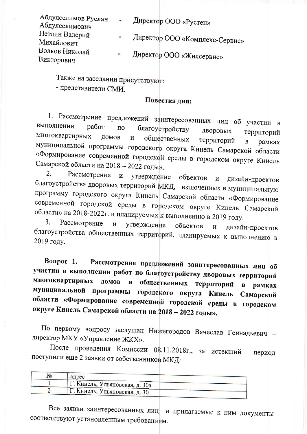| Абдулселимов Руслан<br>Абдулселимович | $\overline{1}$ | Директор ООО «Рустеп»          |
|---------------------------------------|----------------|--------------------------------|
| Петлин Валерий<br>Михайлович          | $\frac{1}{2}$  | Директор ООО «Комплекс-Сервис» |
| Волков Николай<br>Викторович          |                | Директор ООО «Жилсервис»       |

Также на заседании присутствуют:

- представители СМИ.

#### Повестка дня:

1. Рассмотрение предложений заинтересованных лиц об участии в выполнении работ благоустройству  $\overline{10}$ дворовых территорий многоквартирных ДОМОВ общественных  $\mathbf{M}$ территорий  $\overline{B}$ рамках муниципальной программы городского округа Кинель Самарской области «Формирование современной городской среды в городском округе Кинель Самарской области на 2018 - 2022 годы».

2. Рассмотрение  $\mathbf H$ утверждение объектов  $\mathbf{H}$ дизайн-проектов благоустройства дворовых территорий МКД, включенных в муниципальную программу городского округа Кинель Самарской области «Формирование современной городской среды в городском округе Кинель Самарской области» на 2018-2022 г. и планируемых к выполнению в 2019 году.

3. Рассмотрение  $\boldsymbol{\mathrm{M}}$ утверждение объектов И дизайн-проектов благоустройства общественных территорий, планируемых к выполнению в 2019 году.

Рассмотрение предложений заинтересованных лиц об Вопрос  $1$ . участии в выполнении работ по благоустройству дворовых территорий многоквартирных домов общественных территорий  $\boldsymbol{\mathsf{M}}$  $\mathbf{B}$ рамках муниципальной программы городского округа Кинель Самарской области «Формирование современной городской среды в городском округе Кинель Самарской области на 2018 - 2022 годы».

По первому вопросу заслушан Нижегородов Вячеслав Геннадьевич директор МКУ «Управление ЖКХ».

После проведения Комиссии 08.11.2018г., за истекший период поступили еще 2 заявки от собственников МКД:

Все заявки заинтересованных лиц и прилагаемые к ним документы соответствуют установленным требованиям.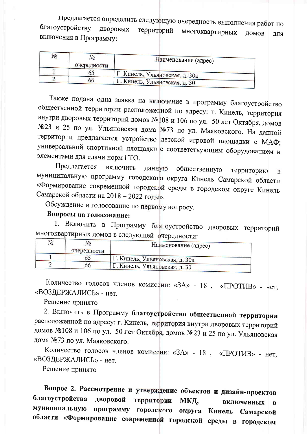Предлагается определить следующую очередность выполнения работ по благоустройству ДВОРОВЫХ территорий многоквартирных ДОМОВ ЛЛЯ включения в Программу:

| N₫ | No.<br>очередности | Наименование (адрес)           |
|----|--------------------|--------------------------------|
|    | O.                 | Г. Кинель, Ульяновская, д. 30а |
|    | bb                 | Г. Кинель, Ульяновская, д. 30  |

Также подана одна заявка на включение в программу благоустройство общественной территории расположенной по адресу: г. Кинель, территория внутри дворовых территорий домов №108 и 106 по ул. 50 лет Октября, домов №23 и 25 по ул. Ульяновская дома №73 по ул. Маяковского. На данной территории предлагается устройство детской игровой площадки с МАФ; универсальной спортивной площадки с соответствующим оборудованием и элементами для сдачи норм ГТО.

Предлагается ВКЛЮЧИТЬ общественную данную территорию  $\mathbf{B}$ муниципальную программу городского округа Кинель Самарской области «Формирование современной городской среды в городском округе Кинель Самарской области на 2018 - 2022 годы».

Обсуждение и голосование по первому вопросу.

### Вопросы на голосование:

1. Включить в Программу благоустройство дворовых территорий многоквартирных домов в следующей очередности:

| N٥ | очередности | Наименование (адрес)             |
|----|-------------|----------------------------------|
|    |             | , Г. Кинель, Ульяновская, д. 30a |
|    | эo          | Г. Кинель, Ульяновская, д. 30    |

Количество голосов членов комиссии: «ЗА» - 18, «ПРОТИВ» - нет, «ВОЗДЕРЖАЛИСЬ» - нет.

Решение принято

2. Включить в Программу благоустройство общественной территории расположенной по адресу: г. Кинель, территория внутри дворовых территорий домов №108 и 106 по ул. 50 лет Октября, домов №23 и 25 по ул. Ульяновская дома №73 по ул. Маяковского.

Количество голосов членов комиссии: «ЗА» - 18, «ПРОТИВ» - нет, «ВОЗДЕРЖАЛИСЬ» - нет.

Решение принято

Вопрос 2. Рассмотрение и утверждение объектов и дизайн-проектов благоустройства дворовой территории МКД, включенных  $\mathbf B$ муниципальную программу городского округа Кинель Самарской области «Формирование современной городской среды в городском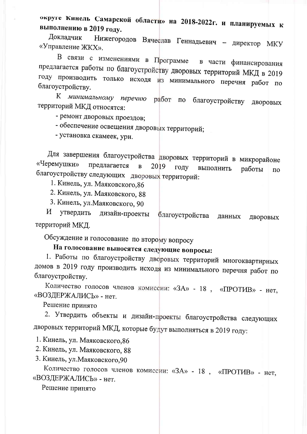округе Кинель Самарской области» на 2018-2022г. и планируемых к выполнению в 2019 году.

Докладчик Нижегородов Вячеслав Геннадьевич - директор МКУ «Управление ЖКХ».

В связи с изменениями в Программе в части финансирования предлагается работы по благоустройству дворовых территорий МКД в 2019 году производить только исходя из минимального перечня работ по благоустройству.

К минимальному перечню работ по благоустройству ДВОРОВЫХ территорий МКД относятся:

- ремонт дворовых проездов;

- обеспечение освещения дворовых территорий;

- установка скамеек, урн.

Для завершения благоустройства дворовых территорий в микрорайоне «Черемушки» предлагается  $\overline{B}$ 2019 году выполнить работы  $\overline{a}$ благоустройству следующих дворовых территорий:

1. Кинель, ул. Маяковского, 86

2. Кинель, ул. Маяковского, 88

3. Кинель, ул. Маяковского, 90

 $\boldsymbol{\mathcal{U}}$ утвердить дизайн-проекты благоустройства данных ДВОРОВЫХ территорий МКД.

Обсуждение и голосование по второму вопросу

На голосование выносятся следующие вопросы:

1. Работы по благоустройству дворовых территорий многоквартирных домов в 2019 году производить исходя из минимального перечня работ по благоустройству.

Количество голосов членов комиссии: «ЗА» - 18, «ПРОТИВ» - нет, «ВОЗДЕРЖАЛИСЬ» - нет.

Решение принято

2. Утвердить объекты и дизайн-проекты благоустройства следующих дворовых территорий МКД, которые будут выполняться в 2019 году:

1. Кинель, ул. Маяковского, 86

2. Кинель, ул. Маяковского, 88

3. Кинель, ул. Маяковского, 90

Количество голосов членов комиссии: «ЗА» - 18, «ПРОТИВ» - нет, «ВОЗДЕРЖАЛИСЬ» - нет.

Решение принято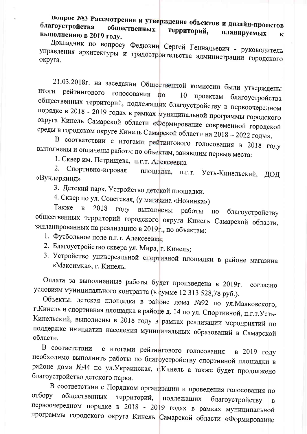Вопрос №3 Рассмотрение и утверждение объектов и дизайн-проектов благоустройства общественных территорий, планируемых выполнению в 2019 году.  $\mathbf{K}$ 

Докладчик по вопросу Федюкин Сергей Геннадьевич - руководитель управления архитектуры и градостроительства администрации городского округа.

21.03.2018г. на заседании Общественной комиссии были утверждены итоги рейтингового голосования  $\overline{\mathbf{u}}$ 10 проектам благоустройства общественных территорий, подлежащих благоустройству в первоочередном порядке в 2018 - 2019 годах в рамках муниципальной программы городского округа Кинель Самарской области «Формирование современной городской среды в городском округе Кинель Самарской области на 2018 - 2022 годы».

В соответствии с итогами рейтингового голосования в 2018 году выполнены и оплачены работы по объектам, занявшим первые места:

1. Сквер им. Петрищева, п.г.т. Алексеевка

2. Спортивно-игровая площадка, п.г.т. Усть-Кинельский, ЛОД «Вундеркинд»

3. Детский парк, Устройство детской площадки.

4. Сквер по ул. Советская, (у магазина «Новинка»)

Также  $\mathbf{B}$ 2018 году выполнены работы благоустройству  $\Pi$ O общественных территорий городского округа Кинель Самарской области, запланированных на реализацию в 2019г., по объектам:

- 1. Футбольное поле п.г.т. Алексеевка;
- 2. Благоустройство сквера ул. Мира, г. Кинель;
- 3. Устройство универсальной спортивной площадки в районе магазина «Максимка», г. Кинель.

Оплата за выполненные работы будет произведена в 2019г. согласно условиям муниципального контракта (в сумме 12 313 528,78 руб.).

Объекты: детская площадка в районе дома №92 по ул. Маяковского, г. Кинель и спортивная площадка в районе д. 14 по ул. Спортивной, п.г.т. Усть-Кинельский, выполнены в 2018 году в рамках реализации мероприятий по поддержке инициатив населения муниципальных образований в Самарской области.

В соответствии с итогами рейтингового голосования в 2019 году необходимо выполнить работы по благоустройству спортивной площадки в районе дома №44 по ул. Украинская, г. Кинель а также будет продолжено благоустройство детского парка.

В соответствии с Порядком организации и проведения голосования по отбору общественных территорий. подлежащих благоустройству первоочередном порядке в 2018 - 2019 годах в рамках муниципальной программы городского округа Кинель Самарской области «Формирование